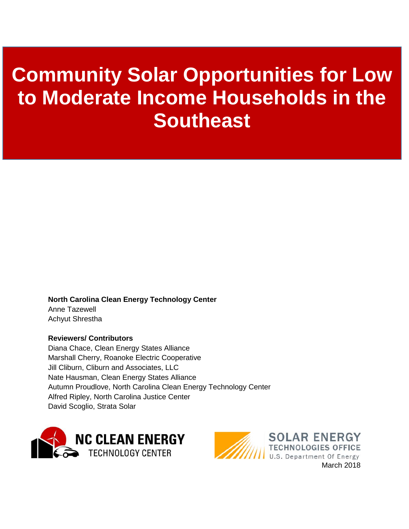# **Community Solar Opportunities for Low to Moderate Income Households in the Southeast**

**North Carolina Clean Energy Technology Center** Anne Tazewell Achyut Shrestha

#### **Reviewers/ Contributors**

Diana Chace, Clean Energy States Alliance Marshall Cherry, Roanoke Electric Cooperative Jill Cliburn, Cliburn and Associates, LLC Nate Hausman, Clean Energy States Alliance Autumn Proudlove, North Carolina Clean Energy Technology Center Alfred Ripley, North Carolina Justice Center David Scoglio, Strata Solar



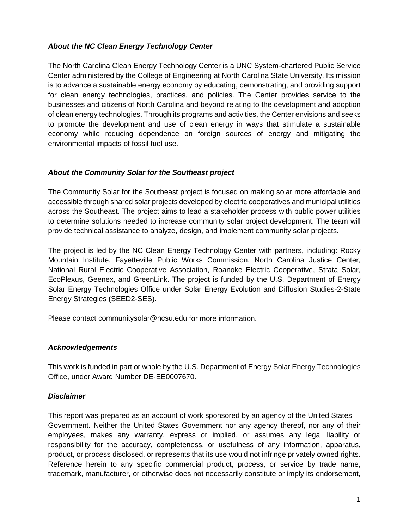#### *About the NC Clean Energy Technology Center*

The North Carolina Clean Energy Technology Center is a UNC System-chartered Public Service Center administered by the College of Engineering at North Carolina State University. Its mission is to advance a sustainable energy economy by educating, demonstrating, and providing support for clean energy technologies, practices, and policies. The Center provides service to the businesses and citizens of North Carolina and beyond relating to the development and adoption of clean energy technologies. Through its programs and activities, the Center envisions and seeks to promote the development and use of clean energy in ways that stimulate a sustainable economy while reducing dependence on foreign sources of energy and mitigating the environmental impacts of fossil fuel use.

#### *About the Community Solar for the Southeast project*

The Community Solar for the Southeast project is focused on making solar more affordable and accessible through shared solar projects developed by electric cooperatives and municipal utilities across the Southeast. The project aims to lead a stakeholder process with public power utilities to determine solutions needed to increase community solar project development. The team will provide technical assistance to analyze, design, and implement community solar projects.

The project is led by the NC Clean Energy Technology Center with partners, including: Rocky Mountain Institute, Fayetteville Public Works Commission, North Carolina Justice Center, National Rural Electric Cooperative Association, Roanoke Electric Cooperative, Strata Solar, EcoPlexus, Geenex, and GreenLink. The project is funded by the U.S. Department of Energy Solar Energy Technologies Office under Solar Energy Evolution and Diffusion Studies-2-State Energy Strategies (SEED2-SES).

Please contact [communitysolar@ncsu.edu](mailto:communitysolar@ncsu.edu) for more information.

#### *Acknowledgements*

This work is funded in part or whole by the U.S. Department of Energy Solar Energy Technologies Office, under Award Number DE-EE0007670.

#### *Disclaimer*

This report was prepared as an account of work sponsored by an agency of the United States Government. Neither the United States Government nor any agency thereof, nor any of their employees, makes any warranty, express or implied, or assumes any legal liability or responsibility for the accuracy, completeness, or usefulness of any information, apparatus, product, or process disclosed, or represents that its use would not infringe privately owned rights. Reference herein to any specific commercial product, process, or service by trade name, trademark, manufacturer, or otherwise does not necessarily constitute or imply its endorsement,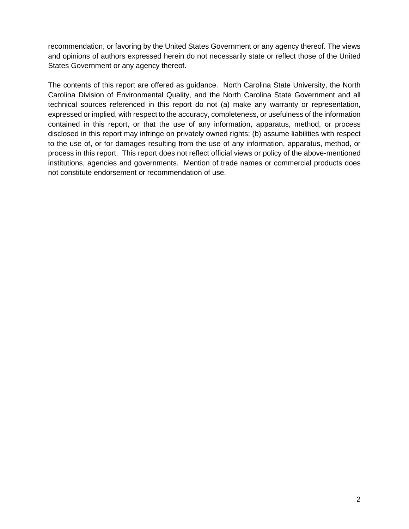recommendation, or favoring by the United States Government or any agency thereof. The views and opinions of authors expressed herein do not necessarily state or reflect those of the United States Government or any agency thereof.

The contents of this report are offered as guidance. North Carolina State University, the North Carolina Division of Environmental Quality, and the North Carolina State Government and all technical sources referenced in this report do not (a) make any warranty or representation, expressed or implied, with respect to the accuracy, completeness, or usefulness of the information contained in this report, or that the use of any information, apparatus, method, or process disclosed in this report may infringe on privately owned rights; (b) assume liabilities with respect to the use of, or for damages resulting from the use of any information, apparatus, method, or process in this report. This report does not reflect official views or policy of the above-mentioned institutions, agencies and governments. Mention of trade names or commercial products does not constitute endorsement or recommendation of use.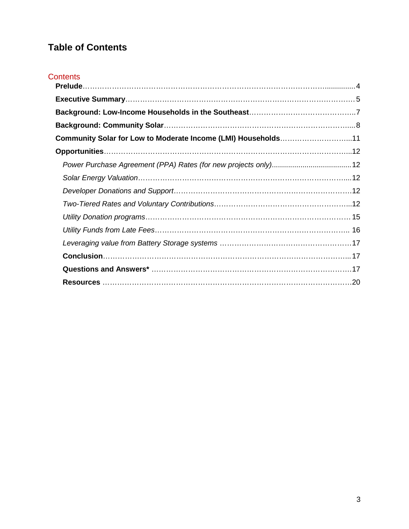# **Table of Contents**

| <b>Contents</b>                                               |  |
|---------------------------------------------------------------|--|
|                                                               |  |
|                                                               |  |
|                                                               |  |
| Community Solar for Low to Moderate Income (LMI) Households11 |  |
|                                                               |  |
|                                                               |  |
|                                                               |  |
|                                                               |  |
|                                                               |  |
|                                                               |  |
|                                                               |  |
|                                                               |  |
|                                                               |  |
|                                                               |  |
|                                                               |  |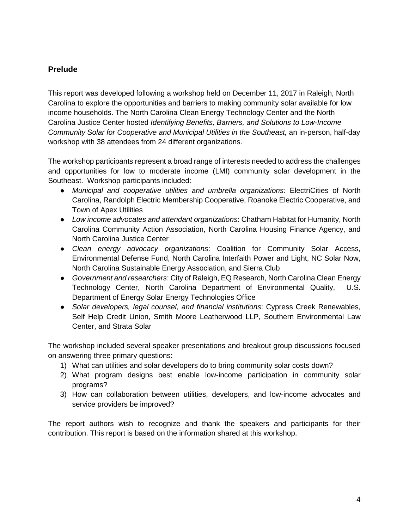# <span id="page-4-0"></span>**Prelude**

This report was developed following a workshop held on December 11, 2017 in Raleigh, North Carolina to explore the opportunities and barriers to making community solar available for low income households. The North Carolina Clean Energy Technology Center and the North Carolina Justice Center hosted *Identifying Benefits, Barriers, and Solutions to Low-Income Community Solar for Cooperative and Municipal Utilities in the Southeast, an in-person, half-day* workshop with 38 attendees from 24 different organizations.

The workshop participants represent a broad range of interests needed to address the challenges and opportunities for low to moderate income (LMI) community solar development in the Southeast. Workshop participants included:

- *Municipal and cooperative utilities and umbrella organizations:* ElectriCities of North Carolina, Randolph Electric Membership Cooperative, Roanoke Electric Cooperative, and Town of Apex Utilities
- *Low income advocates and attendant organizations*: Chatham Habitat for Humanity, North Carolina Community Action Association, North Carolina Housing Finance Agency, and North Carolina Justice Center
- *Clean energy advocacy organizations*: Coalition for Community Solar Access, Environmental Defense Fund, North Carolina Interfaith Power and Light, NC Solar Now, North Carolina Sustainable Energy Association, and Sierra Club
- *Government and researchers*: City of Raleigh, EQ Research, North Carolina Clean Energy Technology Center, North Carolina Department of Environmental Quality, U.S. Department of Energy Solar Energy Technologies Office
- *Solar developers, legal counsel, and financial institutions*: Cypress Creek Renewables, Self Help Credit Union, Smith Moore Leatherwood LLP, Southern Environmental Law Center, and Strata Solar

The workshop included several speaker presentations and breakout group discussions focused on answering three primary questions:

- 1) What can utilities and solar developers do to bring community solar costs down?
- 2) What program designs best enable low-income participation in community solar programs?
- 3) How can collaboration between utilities, developers, and low-income advocates and service providers be improved?

The report authors wish to recognize and thank the speakers and participants for their contribution. This report is based on the information shared at this workshop.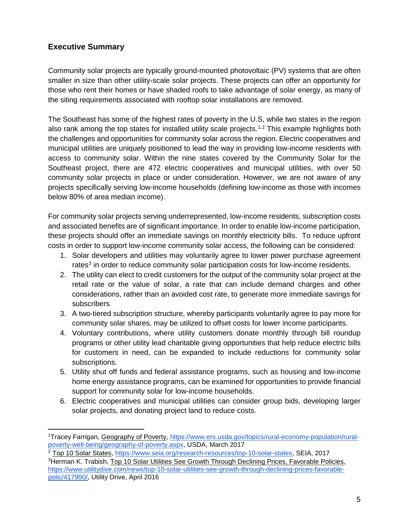# <span id="page-5-0"></span>**Executive Summary**

Community solar projects are typically ground-mounted photovoltaic (PV) systems that are often smaller in size than other utility-scale solar projects. These projects can offer an opportunity for those who rent their homes or have shaded roofs to take advantage of solar energy, as many of the siting requirements associated with rooftop solar installations are removed.

The Southeast has some of the highest rates of poverty in the U.S, while two states in the region also rank among the top states for installed utility scale projects.<sup>[1](#page-5-1),[2](#page-5-2)</sup> This example highlights both the challenges and opportunities for community solar across the region. Electric cooperatives and municipal utilities are uniquely positioned to lead the way in providing low-income residents with access to community solar. Within the nine states covered by the Community Solar for the Southeast project, there are 472 electric cooperatives and municipal utilities, with over 50 community solar projects in place or under consideration. However, we are not aware of any projects specifically serving low-income households (defining low-income as those with incomes below 80% of area median income).

For community solar projects serving underrepresented, low-income residents, subscription costs and associated benefits are of significant importance. In order to enable low-income participation, these projects should offer an immediate savings on monthly electricity bills. To reduce upfront costs in order to support low-income community solar access, the following can be considered:

- 1. Solar developers and utilities may voluntarily agree to lower power purchase agreement rates $3$  in order to reduce community solar participation costs for low-income residents.
- 2. The utility can elect to credit customers for the output of the community solar project at the retail rate or the value of solar, a rate that can include demand charges and other considerations, rather than an avoided cost rate, to generate more immediate savings for subscribers
- 3. A two-tiered subscription structure, whereby participants voluntarily agree to pay more for community solar shares, may be utilized to offset costs for lower income participants.
- 4. Voluntary contributions, where utility customers donate monthly through bill roundup programs or other utility lead charitable giving opportunities that help reduce electric bills for customers in need, can be expanded to include reductions for community solar subscriptions.
- 5. Utility shut off funds and federal assistance programs, such as housing and low-income home energy assistance programs, can be examined for opportunities to provide financial support for community solar for low-income households.
- 6. Electric cooperatives and municipal utilities can consider group bids, developing larger solar projects, and donating project land to reduce costs.

<span id="page-5-1"></span> <sup>1</sup> Tracey Farrigan, Geography of Poverty, [https://www.ers.usda.gov/topics/rural-economy-population/rural](https://www.ers.usda.gov/topics/rural-economy-population/rural-poverty-well-being/geography-of-poverty.aspx)[poverty-well-being/geography-of-poverty.aspx,](https://www.ers.usda.gov/topics/rural-economy-population/rural-poverty-well-being/geography-of-poverty.aspx) USDA, March 2017

<span id="page-5-2"></span><sup>&</sup>lt;sup>2</sup> Top 10 Solar States, [https://www.seia.org/research-resources/top-10-solar-states,](https://www.seia.org/research-resources/top-10-solar-states) SEIA, 2017

<span id="page-5-3"></span><sup>&</sup>lt;sup>3</sup>Herman K. Trabish, Top 10 Solar Utilities See Growth Through Declining Prices, Favorable Policies, [https://www.utilitydive.com/news/top-10-solar-utilities-see-growth-through-declining-prices-favorable](https://www.utilitydive.com/news/top-10-solar-utilities-see-growth-through-declining-prices-favorable-polic/417990/)[polic/417990/,](https://www.utilitydive.com/news/top-10-solar-utilities-see-growth-through-declining-prices-favorable-polic/417990/) Utility Drive, April 2016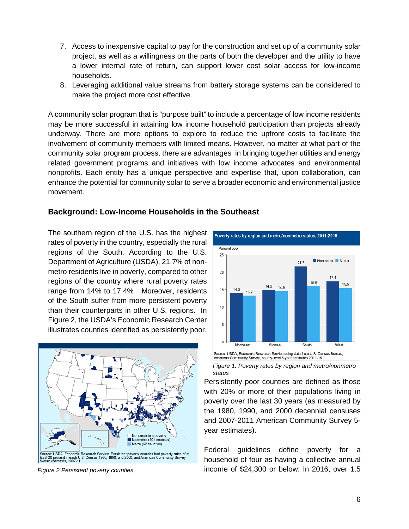- 7. Access to inexpensive capital to pay for the construction and set up of a community solar project, as well as a willingness on the parts of both the developer and the utility to have a lower internal rate of return, can support lower cost solar access for low-income households.
- 8. Leveraging additional value streams from battery storage systems can be considered to make the project more cost effective.

A community solar program that is "purpose built" to include a percentage of low income residents may be more successful in attaining low income household participation than projects already underway. There are more options to explore to reduce the upfront costs to facilitate the involvement of community members with limited means. However, no matter at what part of the community solar program process, there are advantages in bringing together utilities and energy related government programs and initiatives with low income advocates and environmental nonprofits. Each entity has a unique perspective and expertise that, upon collaboration, can enhance the potential for community solar to serve a broader economic and environmental justice movement.

# <span id="page-6-0"></span>**Background: Low-Income Households in the Southeast**

The southern region of the U.S. has the highest rates of poverty in the country, especially the rural regions of the South. According to the U.S. Department of Agriculture (USDA), 21.7% of nonmetro residents live in poverty, compared to other regions of the country where rural poverty rates range from 14% to 17.4% Moreover, residents of the South suffer from more persistent poverty than their counterparts in other U.S. regions. In Figure 2, the USDA's Economic Research Center illustrates counties identified as persistently poor.



*Figure 2 Persistent poverty counties*





Persistently poor counties are defined as those with 20% or more of their populations living in poverty over the last 30 years (as measured by the 1980, 1990, and 2000 decennial censuses and 2007-2011 American Community Survey 5 year estimates).

Federal guidelines define poverty for a household of four as having a collective annual income of \$24,300 or below. In 2016, over 1.5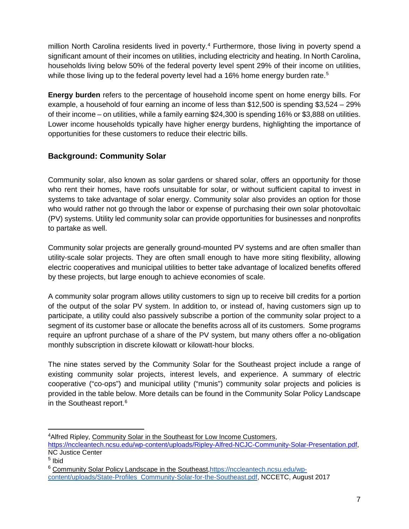million North Carolina residents lived in poverty.<sup>[4](#page-7-1)</sup> Furthermore, those living in poverty spend a significant amount of their incomes on utilities, including electricity and heating. In North Carolina, households living below 50% of the federal poverty level spent 29% of their income on utilities, while those living up to the federal poverty level had a 16% home energy burden rate.<sup>[5](#page-7-2)</sup>

**Energy burden** refers to the percentage of household income spent on home energy bills. For example, a household of four earning an income of less than \$12,500 is spending \$3,524 – 29% of their income – on utilities, while a family earning \$24,300 is spending 16% or \$3,888 on utilities. Lower income households typically have higher energy burdens, highlighting the importance of opportunities for these customers to reduce their electric bills.

# <span id="page-7-0"></span>**Background: Community Solar**

Community solar, also known as solar gardens or shared solar, offers an opportunity for those who rent their homes, have roofs unsuitable for solar, or without sufficient capital to invest in systems to take advantage of solar energy. Community solar also provides an option for those who would rather not go through the labor or expense of purchasing their own solar photovoltaic (PV) systems. Utility led community solar can provide opportunities for businesses and nonprofits to partake as well.

Community solar projects are generally ground-mounted PV systems and are often smaller than utility-scale solar projects. They are often small enough to have more siting flexibility, allowing electric cooperatives and municipal utilities to better take advantage of localized benefits offered by these projects, but large enough to achieve economies of scale.

A community solar program allows utility customers to sign up to receive bill credits for a portion of the output of the solar PV system. In addition to, or instead of, having customers sign up to participate, a utility could also passively subscribe a portion of the community solar project to a segment of its customer base or allocate the benefits across all of its customers. Some programs require an upfront purchase of a share of the PV system, but many others offer a no-obligation monthly subscription in discrete kilowatt or kilowatt-hour blocks.

The nine states served by the Community Solar for the Southeast project include a range of existing community solar projects, interest levels, and experience. A summary of electric cooperative ("co-ops") and municipal utility ("munis") community solar projects and policies is provided in the table below. More details can be found in the Community Solar Policy Landscape in the Southeast report.<sup>[6](#page-7-3)</sup>

<span id="page-7-1"></span> <sup>4</sup> Alfred Ripley, Community Solar in the Southeast for Low Income Customers,

[https://nccleantech.ncsu.edu/wp-content/uploads/Ripley-Alfred-NCJC-Community-Solar-Presentation.pdf,](https://nccleantech.ncsu.edu/wp-content/uploads/Ripley-Alfred-NCJC-Community-Solar-Presentation.pdf) NC Justice Center

<span id="page-7-2"></span><sup>5</sup> Ibid

<span id="page-7-3"></span><sup>6</sup> Community Solar Policy Landscape in the Southeast[,https://nccleantech.ncsu.edu/wp](https://nccleantech.ncsu.edu/wp-content/uploads/State-Profiles_Community-Solar-for-the-Southeast.pdf)[content/uploads/State-Profiles\\_Community-Solar-for-the-Southeast.pdf,](https://nccleantech.ncsu.edu/wp-content/uploads/State-Profiles_Community-Solar-for-the-Southeast.pdf) NCCETC, August 2017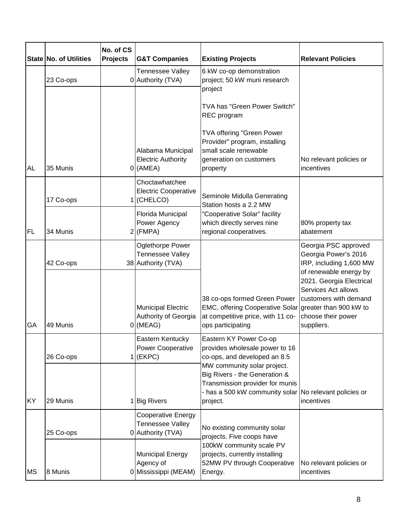|           | State No. of Utilities | No. of CS<br><b>Projects</b> | <b>G&amp;T Companies</b>                                                 | <b>Existing Projects</b>                                                                                                                                              | <b>Relevant Policies</b>                                                                                                                                                                                          |
|-----------|------------------------|------------------------------|--------------------------------------------------------------------------|-----------------------------------------------------------------------------------------------------------------------------------------------------------------------|-------------------------------------------------------------------------------------------------------------------------------------------------------------------------------------------------------------------|
|           | 23 Co-ops              |                              | Tennessee Valley<br>0 Authority (TVA)                                    | 6 kW co-op demonstration<br>project; 50 kW muni research<br>project                                                                                                   |                                                                                                                                                                                                                   |
|           |                        |                              |                                                                          | TVA has "Green Power Switch"<br>REC program<br>TVA offering "Green Power                                                                                              |                                                                                                                                                                                                                   |
| <b>AL</b> | 35 Munis               |                              | Alabama Municipal<br><b>Electric Authority</b><br>$0$ (AMEA)             | Provider" program, installing<br>small scale renewable<br>generation on customers<br>property                                                                         | No relevant policies or<br>incentives                                                                                                                                                                             |
| FL        | 17 Co-ops              |                              | Choctawhatchee<br><b>Electric Cooperative</b><br>$1$ (CHELCO)            | Seminole Midulla Generating<br>Station hosts a 2.2 MW<br>"Cooperative Solar" facility<br>which directly serves nine<br>regional cooperatives.                         |                                                                                                                                                                                                                   |
|           | 34 Munis               |                              | Florida Municipal<br>Power Agency<br>$2$ (FMPA)                          |                                                                                                                                                                       | 80% property tax<br>abatement                                                                                                                                                                                     |
| GA        | 42 Co-ops              |                              | <b>Oglethorpe Power</b><br><b>Tennessee Valley</b><br>38 Authority (TVA) | 38 co-ops formed Green Power<br>EMC, offering Cooperative Solar greater than 900 kW to<br>at competitive price, with 11 co-<br>ops participating                      | Georgia PSC approved<br>Georgia Power's 2016<br>IRP, including 1,600 MW<br>of renewable energy by<br>2021. Georgia Electrical<br>Services Act allows<br>customers with demand<br>choose their power<br>suppliers. |
|           | 49 Munis               |                              | <b>Municipal Electric</b><br>Authority of Georgia<br>$0$ (MEAG)          |                                                                                                                                                                       |                                                                                                                                                                                                                   |
| <b>KY</b> | 26 Co-ops              |                              | Eastern Kentucky<br><b>Power Cooperative</b><br>$1$ (EKPC)               | Eastern KY Power Co-op<br>provides wholesale power to 16<br>co-ops, and developed an 8.5                                                                              |                                                                                                                                                                                                                   |
|           | 29 Munis               |                              | 1 Big Rivers                                                             | MW community solar project.<br>Big Rivers - the Generation &<br>Transmission provider for munis<br>- has a 500 kW community solar No relevant policies or<br>project. | incentives                                                                                                                                                                                                        |
| <b>MS</b> | 25 Co-ops              |                              | Cooperative Energy<br>Tennessee Valley<br>0 Authority (TVA)              | No existing community solar<br>projects. Five coops have<br>100kW community scale PV<br>projects, currently installing<br>52MW PV through Cooperative<br>Energy.      |                                                                                                                                                                                                                   |
|           | 8 Munis                |                              | <b>Municipal Energy</b><br>Agency of<br>0 Mississippi (MEAM)             |                                                                                                                                                                       | No relevant policies or<br>incentives                                                                                                                                                                             |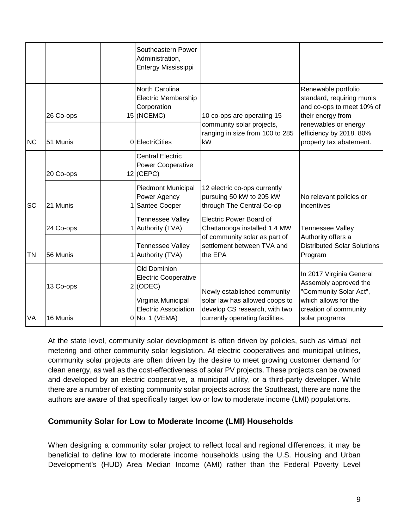|                 |           | Southeastern Power<br>Administration,<br>Entergy Mississippi                |                                                                                                                                                                                                             |                                                                                                                                                                                                                       |
|-----------------|-----------|-----------------------------------------------------------------------------|-------------------------------------------------------------------------------------------------------------------------------------------------------------------------------------------------------------|-----------------------------------------------------------------------------------------------------------------------------------------------------------------------------------------------------------------------|
|                 | 26 Co-ops | North Carolina<br><b>Electric Membership</b><br>Corporation<br>$15$ (NCEMC) | 10 co-ops are operating 15                                                                                                                                                                                  | Renewable portfolio<br>standard, requiring munis<br>and co-ops to meet 10% of<br>their energy from                                                                                                                    |
| <b>NC</b>       | 51 Munis  | 0 ElectriCities                                                             | community solar projects,<br>ranging in size from 100 to 285<br>kW                                                                                                                                          | renewables or energy<br>efficiency by 2018. 80%<br>property tax abatement.                                                                                                                                            |
|                 | 20 Co-ops | <b>Central Electric</b><br>Power Cooperative<br>$12$ (CEPC)                 |                                                                                                                                                                                                             |                                                                                                                                                                                                                       |
| SC              | 21 Munis  | <b>Piedmont Municipal</b><br>Power Agency<br>Santee Cooper                  | 12 electric co-ops currently<br>pursuing 50 kW to 205 kW<br>through The Central Co-op                                                                                                                       | No relevant policies or<br>incentives                                                                                                                                                                                 |
|                 | 24 Co-ops | Tennessee Valley<br>1 Authority (TVA)                                       | <b>Electric Power Board of</b><br>Chattanooga installed 1.4 MW                                                                                                                                              | <b>Tennessee Valley</b>                                                                                                                                                                                               |
| <b>TN</b><br>VA | 56 Munis  | <b>Tennessee Valley</b><br>Authority (TVA)                                  | of community solar as part of<br>settlement between TVA and<br>the EPA<br>Newly established community<br>solar law has allowed coops to<br>develop CS research, with two<br>currently operating facilities. | Authority offers a<br><b>Distributed Solar Solutions</b><br>Program<br>In 2017 Virginia General<br>Assembly approved the<br>"Community Solar Act",<br>which allows for the<br>creation of community<br>solar programs |
|                 | 13 Co-ops | Old Dominion<br><b>Electric Cooperative</b><br>$2$ (ODEC)                   |                                                                                                                                                                                                             |                                                                                                                                                                                                                       |
|                 | 16 Munis  | Virginia Municipal<br><b>Electric Association</b><br>0 No. 1 (VEMA)         |                                                                                                                                                                                                             |                                                                                                                                                                                                                       |

At the state level, community solar development is often driven by policies, such as virtual net metering and other community solar legislation. At electric cooperatives and municipal utilities, community solar projects are often driven by the desire to meet growing customer demand for clean energy, as well as the cost-effectiveness of solar PV projects. These projects can be owned and developed by an electric cooperative, a municipal utility, or a third-party developer. While there are a number of existing community solar projects across the Southeast, there are none the authors are aware of that specifically target low or low to moderate income (LMI) populations.

# <span id="page-9-0"></span>**Community Solar for Low to Moderate Income (LMI) Households**

When designing a community solar project to reflect local and regional differences, it may be beneficial to define low to moderate income households using the U.S. Housing and Urban Development's (HUD) Area Median Income (AMI) rather than the Federal Poverty Level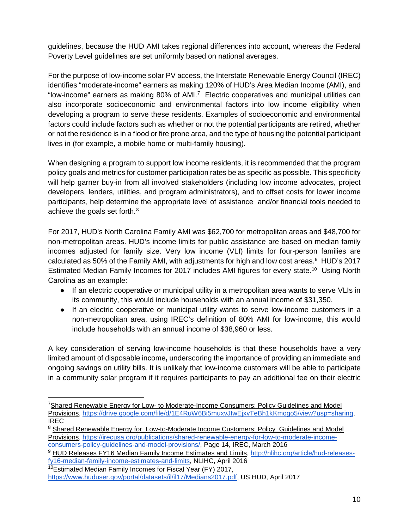guidelines, because the HUD AMI takes regional differences into account, whereas the Federal Poverty Level guidelines are set uniformly based on national averages.

For the purpose of low-income solar PV access, the Interstate Renewable Energy Council (IREC) identifies "moderate-income" earners as making 120% of HUD's Area Median Income (AMI), and "low-income" earners as making 80% of AMI.[7](#page-10-0) Electric cooperatives and municipal utilities can also incorporate socioeconomic and environmental factors into low income eligibility when developing a program to serve these residents. Examples of socioeconomic and environmental factors could include factors such as whether or not the potential participants are retired, whether or not the residence is in a flood or fire prone area, and the type of housing the potential participant lives in (for example, a mobile home or multi-family housing).

When designing a program to support low income residents, it is recommended that the program policy goals and metrics for customer participation rates be as specific as possible**.** This specificity will help garner buy-in from all involved stakeholders (including low income advocates, project developers, lenders, utilities, and program administrators), and to offset costs for lower income participants, help determine the appropriate level of assistance and/or financial tools needed to achieve the goals set forth.<sup>[8](#page-10-1)</sup>

For 2017, HUD's North Carolina Family AMI was \$62,700 for metropolitan areas and \$48,700 for non-metropolitan areas. HUD's income limits for public assistance are based on median family incomes adjusted for family size. Very low income (VLI) limits for four-person families are calculated as 50% of the Family AMI, with adjustments for high and low cost areas. $9\,$  $9\,$  HUD's 2017 Estimated Median Family Incomes for 2017 includes AMI figures for every state.<sup>[10](#page-10-3)</sup> Using North Carolina as an example:

- If an electric cooperative or municipal utility in a metropolitan area wants to serve VLIs in its community, this would include households with an annual income of \$31,350.
- If an electric cooperative or municipal utility wants to serve low-income customers in a non-metropolitan area, using IREC's definition of 80% AMI for low-income, this would include households with an annual income of \$38,960 or less.

A key consideration of serving low-income households is that these households have a very limited amount of disposable income**,** underscoring the importance of providing an immediate and ongoing savings on utility bills. It is unlikely that low-income customers will be able to participate in a community solar program if it requires participants to pay an additional fee on their electric

<span id="page-10-0"></span> <sup>7</sup> Shared Renewable Energy for Low- to Moderate-Income Consumers: Policy Guidelines and Model Provisions, [https://drive.google.com/file/d/1E4RuW6Bi5muxvJIwEjxvTeBh1kKmqgo5/view?usp=sharing,](https://drive.google.com/file/d/1E4RuW6Bi5muxvJIwEjxvTeBh1kKmqgo5/view?usp=sharing) IREC

<span id="page-10-1"></span> $8$  Shared Renewable Energy for Low-to-Moderate Income Customers: Policy Guidelines and Model Provisions, [https://irecusa.org/publications/shared-renewable-energy-for-low-to-moderate-income](https://irecusa.org/publications/shared-renewable-energy-for-low-to-moderate-income-consumers-policy-guidelines-and-model-provisions/)[consumers-policy-guidelines-and-model-provisions/,](https://irecusa.org/publications/shared-renewable-energy-for-low-to-moderate-income-consumers-policy-guidelines-and-model-provisions/) Page 14, IREC, March 2016

<span id="page-10-2"></span><sup>9</sup> HUD Releases FY16 Median Family Income Estimates and Limits, [http://nlihc.org/article/hud-releases](http://nlihc.org/article/hud-releases-fy16-median-family-income-estimates-and-limits)[fy16-median-family-income-estimates-and-limits,](http://nlihc.org/article/hud-releases-fy16-median-family-income-estimates-and-limits) NLIHC, April 2016

<span id="page-10-3"></span> $10$ Estimated Median Family Incomes for Fiscal Year (FY) 2017,

[https://www.huduser.gov/portal/datasets/il/il17/Medians2017.pdf,](https://www.huduser.gov/portal/datasets/il/il17/Medians2017.pdf) US HUD, April 2017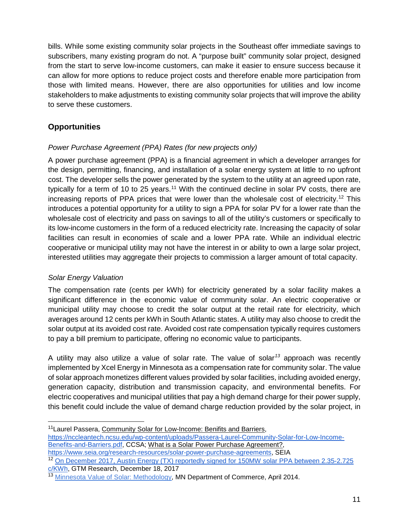bills. While some existing community solar projects in the Southeast offer immediate savings to subscribers, many existing program do not. A "purpose built" community solar project, designed from the start to serve low-income customers, can make it easier to ensure success because it can allow for more options to reduce project costs and therefore enable more participation from those with limited means. However, there are also opportunities for utilities and low income stakeholders to make adjustments to existing community solar projects that will improve the ability to serve these customers.

# <span id="page-11-0"></span>**Opportunities**

# <span id="page-11-1"></span>*Power Purchase Agreement (PPA) Rates (for new projects only)*

A power purchase agreement (PPA) is a financial agreement in which a developer arranges for the design, permitting, financing, and installation of a solar energy system at little to no upfront cost. The developer sells the power generated by the system to the utility at an agreed upon rate, typically for a term of 10 to 25 years.<sup>[11](#page-11-3)</sup> With the continued decline in solar PV costs, there are increasing reports of PPA prices that were lower than the wholesale cost of electricity.<sup>[12](#page-11-4)</sup> This introduces a potential opportunity for a utility to sign a PPA for solar PV for a lower rate than the wholesale cost of electricity and pass on savings to all of the utility's customers or specifically to its low-income customers in the form of a reduced electricity rate. Increasing the capacity of solar facilities can result in economies of scale and a lower PPA rate. While an individual electric cooperative or municipal utility may not have the interest in or ability to own a large solar project, interested utilities may aggregate their projects to commission a larger amount of total capacity.

# <span id="page-11-2"></span>*Solar Energy Valuation*

The compensation rate (cents per kWh) for electricity generated by a solar facility makes a significant difference in the economic value of community solar. An electric cooperative or municipal utility may choose to credit the solar output at the retail rate for electricity, which averages around 12 cents per kWh in South Atlantic states. A utility may also choose to credit the solar output at its avoided cost rate. Avoided cost rate compensation typically requires customers to pay a bill premium to participate, offering no economic value to participants.

A utility may also utilize a value of solar rate. The value of solar*[13](#page-11-5)* approach was recently implemented by Xcel Energy in Minnesota as a compensation rate for community solar. The value of solar approach monetizes different values provided by solar facilities, including avoided energy, generation capacity, distribution and transmission capacity, and environmental benefits. For electric cooperatives and municipal utilities that pay a high demand charge for their power supply, this benefit could include the value of demand charge reduction provided by the solar project, in

<span id="page-11-3"></span><sup>11</sup> Laurel Passera, Community Solar for Low-Income: Benifits and Barriers, [https://nccleantech.ncsu.edu/wp-content/uploads/Passera-Laurel-Community-Solar-for-Low-Income-](https://nccleantech.ncsu.edu/wp-content/uploads/Passera-Laurel-Community-Solar-for-Low-Income-Benefits-and-Barriers.pdf)[Benefits-and-Barriers.pdf,](https://nccleantech.ncsu.edu/wp-content/uploads/Passera-Laurel-Community-Solar-for-Low-Income-Benefits-and-Barriers.pdf) CCSA; What is a Solar Power Purchase Agreement?, [https://www.seia.org/research-resources/solar-power-purchase-agreements,](https://www.seia.org/research-resources/solar-power-purchase-agreements) SEIA

<span id="page-11-4"></span><sup>12</sup> [On December 2017, Austin Energy \(TX\) reportedly signed for 150MW solar PPA between 2.35-2.725](https://www.greentechmedia.com/articles/read/amidst-201-trade-case-uncertainty-austin-energy-signs-historic-low-solar-pp#gs.tchCq_g)  [c/KWh,](https://www.greentechmedia.com/articles/read/amidst-201-trade-case-uncertainty-austin-energy-signs-historic-low-solar-pp#gs.tchCq_g) GTM Research, December 18, 2017

<span id="page-11-5"></span><sup>&</sup>lt;sup>13</sup> [Minnesota Value of Solar: Methodology,](http://mn.gov/commerce-stat/pdfs/vos-methodology.pdfhttp:/mn.gov/commerce-stat/pdfs/vos-methodology.pdf) MN Department of Commerce, April 2014.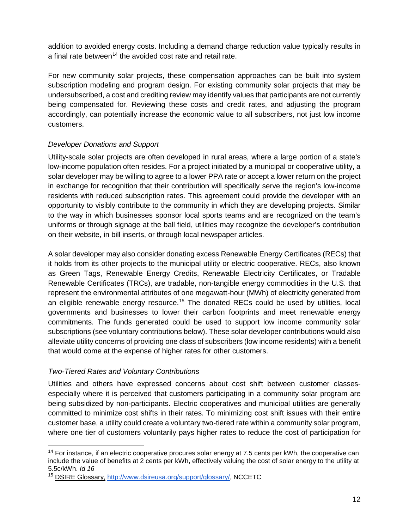addition to avoided energy costs. Including a demand charge reduction value typically results in a final rate between<sup>14</sup> the avoided cost rate and retail rate.

For new community solar projects, these compensation approaches can be built into system subscription modeling and program design. For existing community solar projects that may be undersubscribed, a cost and crediting review may identify values that participants are not currently being compensated for. Reviewing these costs and credit rates, and adjusting the program accordingly, can potentially increase the economic value to all subscribers, not just low income customers.

# <span id="page-12-0"></span>*Developer Donations and Support*

Utility-scale solar projects are often developed in rural areas, where a large portion of a state's low-income population often resides. For a project initiated by a municipal or cooperative utility, a solar developer may be willing to agree to a lower PPA rate or accept a lower return on the project in exchange for recognition that their contribution will specifically serve the region's low-income residents with reduced subscription rates. This agreement could provide the developer with an opportunity to visibly contribute to the community in which they are developing projects. Similar to the way in which businesses sponsor local sports teams and are recognized on the team's uniforms or through signage at the ball field, utilities may recognize the developer's contribution on their website, in bill inserts, or through local newspaper articles.

A solar developer may also consider donating excess Renewable Energy Certificates (RECs) that it holds from its other projects to the municipal utility or electric cooperative. RECs, also known as Green Tags, Renewable Energy Credits, Renewable Electricity Certificates, or Tradable Renewable Certificates (TRCs), are tradable, non-tangible energy commodities in the U.S. that represent the environmental attributes of one megawatt-hour (MWh) of electricity generated from an eligible renewable energy resource.<sup>[15](#page-12-3)</sup> The donated RECs could be used by utilities, local governments and businesses to lower their carbon footprints and meet renewable energy commitments. The funds generated could be used to support low income community solar subscriptions (see voluntary contributions below). These solar developer contributions would also alleviate utility concerns of providing one class of subscribers (low income residents) with a benefit that would come at the expense of higher rates for other customers.

#### <span id="page-12-1"></span>*Two-Tiered Rates and Voluntary Contributions*

Utilities and others have expressed concerns about cost shift between customer classesespecially where it is perceived that customers participating in a community solar program are being subsidized by non-participants. Electric cooperatives and municipal utilities are generally committed to minimize cost shifts in their rates. To minimizing cost shift issues with their entire customer base, a utility could create a voluntary two-tiered rate within a community solar program, where one tier of customers voluntarily pays higher rates to reduce the cost of participation for

<span id="page-12-2"></span><sup>&</sup>lt;sup>14</sup> For instance, if an electric cooperative procures solar energy at 7.5 cents per kWh, the cooperative can include the value of benefits at 2 cents per kWh, effectively valuing the cost of solar energy to the utility at 5.5c/kWh. *Id 16*

<span id="page-12-3"></span><sup>15</sup> DSIRE Glossary, [http://www.dsireusa.org/support/glossary/,](http://www.dsireusa.org/support/glossary/) NCCETC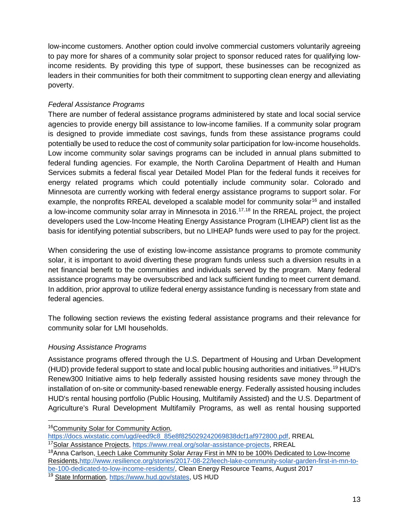low-income customers. Another option could involve commercial customers voluntarily agreeing to pay more for shares of a community solar project to sponsor reduced rates for qualifying lowincome residents. By providing this type of support, these businesses can be recognized as leaders in their communities for both their commitment to supporting clean energy and alleviating poverty.

# *Federal Assistance Programs*

There are number of federal assistance programs administered by state and local social service agencies to provide energy bill assistance to low-income families. If a community solar program is designed to provide immediate cost savings, funds from these assistance programs could potentially be used to reduce the cost of community solar participation for low-income households. Low income community solar savings programs can be included in annual plans submitted to federal funding agencies. For example, the North Carolina Department of Health and Human Services submits a federal fiscal year Detailed Model Plan for the federal funds it receives for energy related programs which could potentially include community solar. Colorado and Minnesota are currently working with federal energy assistance programs to support solar. For example, the nonprofits RREAL developed a scalable model for community solar<sup>[16](#page-13-0)</sup> and installed a low-income community solar array in Minnesota in 2016.<sup>[17,](#page-13-1)[18](#page-13-2)</sup> In the RREAL project, the project developers used the Low-Income Heating Energy Assistance Program (LIHEAP) client list as the basis for identifying potential subscribers, but no LIHEAP funds were used to pay for the project.

When considering the use of existing low-income assistance programs to promote community solar, it is important to avoid diverting these program funds unless such a diversion results in a net financial benefit to the communities and individuals served by the program. Many federal assistance programs may be oversubscribed and lack sufficient funding to meet current demand. In addition, prior approval to utilize federal energy assistance funding is necessary from state and federal agencies.

The following section reviews the existing federal assistance programs and their relevance for community solar for LMI households.

# *Housing Assistance Programs*

Assistance programs offered through the U.S. Department of Housing and Urban Development (HUD) provide federal support to state and local public housing authorities and initiatives.[19](#page-13-3) HUD's Renew300 Initiative aims to help federally assisted housing residents save money through the installation of on-site or community-based renewable energy. Federally assisted housing includes HUD's rental housing portfolio (Public Housing, Multifamily Assisted) and the U.S. Department of Agriculture's Rural Development Multifamily Programs, as well as rental housing supported

<span id="page-13-0"></span> <sup>16</sup>Community Solar for Community Action,

[https://docs.wixstatic.com/ugd/eed9c8\\_85e8f825029242069838dcf1af972800.pdf,](https://docs.wixstatic.com/ugd/eed9c8_85e8f825029242069838dcf1af972800.pdf) RREAL

<span id="page-13-1"></span><sup>&</sup>lt;sup>17</sup>Solar Assistance Projects, [https://www.rreal.org/solar-assistance-projects,](https://www.rreal.org/solar-assistance-projects) RREAL

<span id="page-13-2"></span><sup>&</sup>lt;sup>18</sup>Anna Carlson, Leech Lake Community Solar Array First in MN to be 100% Dedicated to Low-Income Residents[,http://www.resilience.org/stories/2017-08-22/leech-lake-community-solar-garden-first-in-mn-to](http://www.resilience.org/stories/2017-08-22/leech-lake-community-solar-garden-first-in-mn-to-be-100-dedicated-to-low-income-residents/)[be-100-dedicated-to-low-income-residents/,](http://www.resilience.org/stories/2017-08-22/leech-lake-community-solar-garden-first-in-mn-to-be-100-dedicated-to-low-income-residents/) Clean Energy Resource Teams, August 2017

<span id="page-13-3"></span><sup>&</sup>lt;sup>19</sup> State Information, [https://www.hud.gov/states,](https://www.hud.gov/states) US HUD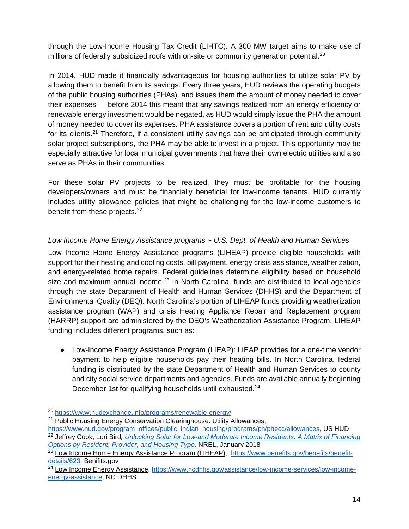through the Low-Income Housing Tax Credit (LIHTC). A 300 MW target aims to make use of millions of federally subsidized roofs with on-site or community generation potential.<sup>[20](#page-14-0)</sup>

In 2014, HUD made it financially advantageous for housing authorities to utilize solar PV by allowing them to benefit from its savings. Every three years, HUD reviews the operating budgets of the public housing authorities (PHAs), and issues them the amount of money needed to cover their expenses — before 2014 this meant that any savings realized from an energy efficiency or renewable energy investment would be negated, as HUD would simply issue the PHA the amount of money needed to cover its expenses. PHA assistance covers a portion of rent and utility costs for its clients.<sup>[21](#page-14-1)</sup> Therefore, if a consistent utility savings can be anticipated through community solar project subscriptions, the PHA may be able to invest in a project. This opportunity may be especially attractive for local municipal governments that have their own electric utilities and also serve as PHAs in their communities.

For these solar PV projects to be realized, they must be profitable for the housing developers/owners and must be financially beneficial for low-income tenants. HUD currently includes utility allowance policies that might be challenging for the low-income customers to benefit from these projects.<sup>[22](#page-14-2)</sup>

# *Low Income Home Energy Assistance programs ~ U.S. Dept. of Health and Human Services*

Low Income Home Energy Assistance programs (LIHEAP) provide eligible households with support for their heating and cooling costs, bill payment, energy crisis assistance, weatherization, and energy-related home repairs. Federal guidelines determine eligibility based on household size and maximum annual income. $23$  In North Carolina, funds are distributed to local agencies through the state Department of Health and Human Services (DHHS) and the Department of Environmental Quality (DEQ). North Carolina's portion of LIHEAP funds providing weatherization assistance program (WAP) and crisis Heating Appliance Repair and Replacement program (HARRP) support are administered by the DEQ's Weatherization Assistance Program. LIHEAP funding includes different programs, such as:

● Low-Income Energy Assistance Program (LIEAP): LIEAP provides for a one-time vendor payment to help eligible households pay their heating bills. In North Carolina, federal funding is distributed by the state Department of Health and Human Services to county and city social service departments and agencies. Funds are available annually beginning December 1st for qualifying households until exhausted.<sup>[24](#page-14-4)</sup>

<span id="page-14-0"></span> <sup>20</sup> <https://www.hudexchange.info/programs/renewable-energy/>

<span id="page-14-1"></span><sup>&</sup>lt;sup>21</sup> Public Housing Energy Conservation Clearinghouse: Utility Allowances,

<span id="page-14-2"></span>[https://www.hud.gov/program\\_offices/public\\_indian\\_housing/programs/ph/phecc/allowances,](https://www.hud.gov/program_offices/public_indian_housing/programs/ph/phecc/allowances) US HUD <sup>22</sup> Jeffrey Cook, Lori Bird*, [Unlocking Solar for Low-and Moderate Income Residents: A Matrix of Financing](https://www.cesa.org/assets/2018-Files/NREL-LMI-Solar-Matrix.pdf)  [Options by Resident, Provider, and Housing Type,](https://www.cesa.org/assets/2018-Files/NREL-LMI-Solar-Matrix.pdf)* NREL, January 2018

<span id="page-14-3"></span><sup>&</sup>lt;sup>23</sup> Low Income Home Energy Assistance Program (LIHEAP), [https://www.benefits.gov/benefits/benefit](https://www.benefits.gov/benefits/benefit-details/623)[details/623,](https://www.benefits.gov/benefits/benefit-details/623) Benifits.gov

<span id="page-14-4"></span><sup>&</sup>lt;sup>24</sup> Low Income Energy Assistance, [https://www.ncdhhs.gov/assistance/low-income-services/low-income](https://www.ncdhhs.gov/assistance/low-income-services/low-income-energy-assistance)[energy-assistance,](https://www.ncdhhs.gov/assistance/low-income-services/low-income-energy-assistance) NC DHHS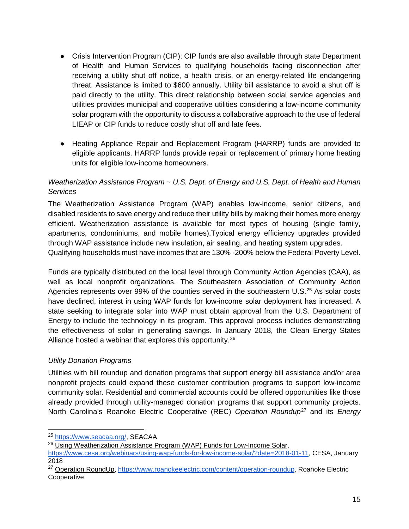- Crisis Intervention Program (CIP): CIP funds are also available through state Department of Health and Human Services to qualifying households facing disconnection after receiving a utility shut off notice, a health crisis, or an energy-related life endangering threat. Assistance is limited to \$600 annually. Utility bill assistance to avoid a shut off is paid directly to the utility. This direct relationship between social service agencies and utilities provides municipal and cooperative utilities considering a low-income community solar program with the opportunity to discuss a collaborative approach to the use of federal LIEAP or CIP funds to reduce costly shut off and late fees.
- Heating Appliance Repair and Replacement Program (HARRP) funds are provided to eligible applicants. HARRP funds provide repair or replacement of primary home heating units for eligible low-income homeowners.

# *Weatherization Assistance Program ~ U.S. Dept. of Energy and U.S. Dept. of Health and Human Services*

The Weatherization Assistance Program (WAP) enables low-income, senior citizens, and disabled residents to save energy and reduce their utility bills by making their homes more energy efficient. Weatherization assistance is available for most types of housing (single family, apartments, condominiums, and mobile homes).Typical energy efficiency upgrades provided through WAP assistance include new insulation, air sealing, and heating system upgrades. Qualifying households must have incomes that are 130% -200% below the Federal Poverty Level.

Funds are typically distributed on the local level through Community Action Agencies (CAA), as well as local nonprofit organizations. The Southeastern Association of Community Action Agencies represents over 99% of the counties served in the southeastern U.S.<sup>[25](#page-15-1)</sup> As solar costs have declined, interest in using WAP funds for low-income solar deployment has increased. A state seeking to integrate solar into WAP must obtain approval from the U.S. Department of Energy to include the technology in its program. This approval process includes demonstrating the effectiveness of solar in generating savings. In January 2018, the Clean Energy States Alliance hosted a webinar that explores this opportunity.<sup>[26](#page-15-2)</sup>

# <span id="page-15-0"></span>*Utility Donation Programs*

Utilities with bill roundup and donation programs that support energy bill assistance and/or area nonprofit projects could expand these customer contribution programs to support low-income community solar. Residential and commercial accounts could be offered opportunities like those already provided through utility-managed donation programs that support community projects. North Carolina's Roanoke Electric Cooperative (REC) *Operation Roundup*[27](#page-15-3) and its *Energy* 

<span id="page-15-1"></span> <sup>25</sup> [https://www.seacaa.org/,](https://www.seacaa.org/) SEACAA

<span id="page-15-2"></span><sup>&</sup>lt;sup>26</sup> Using Weatherization Assistance Program (WAP) Funds for Low-Income Solar,

[https://www.cesa.org/webinars/using-wap-funds-for-low-income-solar/?date=2018-01-11,](https://www.cesa.org/webinars/using-wap-funds-for-low-income-solar/?date=2018-01-11) CESA, January 2018

<span id="page-15-3"></span><sup>&</sup>lt;sup>27</sup> Operation RoundUp, [https://www.roanokeelectric.com/content/operation-roundup,](https://www.roanokeelectric.com/content/operation-roundup) Roanoke Electric Cooperative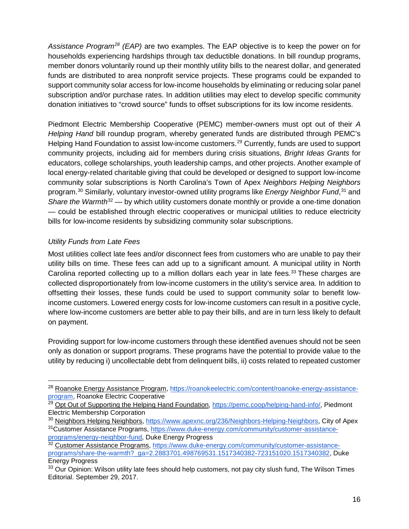*Assistance Program[28](#page-16-1) (EAP)* are two examples. The EAP objective is to keep the power on for households experiencing hardships through tax deductible donations. In bill roundup programs, member donors voluntarily round up their monthly utility bills to the nearest dollar, and generated funds are distributed to area nonprofit service projects. These programs could be expanded to support community solar access for low-income households by eliminating or reducing solar panel subscription and/or purchase rates. In addition utilities may elect to develop specific community donation initiatives to "crowd source" funds to offset subscriptions for its low income residents.

Piedmont Electric Membership Cooperative (PEMC) member-owners must opt out of their *A Helping Hand* bill roundup program, whereby generated funds are distributed through PEMC's Helping Hand Foundation to assist low-income customers.<sup>[29](#page-16-2)</sup> Currently, funds are used to support community projects, including aid for members during crisis situations, *Bright Ideas Grants* for educators, college scholarships, youth leadership camps, and other projects. Another example of local energy-related charitable giving that could be developed or designed to support low-income community solar subscriptions is North Carolina's Town of Apex *Neighbors Helping Neighbors* program.<sup>[30](#page-16-3)</sup> Similarly, voluntary investor-owned utility programs like *Energy Neighbor Fund*,<sup>[31](#page-16-4)</sup> and *Share the Warmth*<sup>[32](#page-16-5)</sup> — by which utility customers donate monthly or provide a one-time donation — could be established through electric cooperatives or municipal utilities to reduce electricity bills for low-income residents by subsidizing community solar subscriptions.

# <span id="page-16-0"></span>*Utility Funds from Late Fees*

Most utilities collect late fees and/or disconnect fees from customers who are unable to pay their utility bills on time. These fees can add up to a significant amount. A municipal utility in North Carolina reported collecting up to a million dollars each year in late fees.<sup>[33](#page-16-6)</sup> These charges are collected disproportionately from low-income customers in the utility's service area. In addition to offsetting their losses, these funds could be used to support community solar to benefit lowincome customers. Lowered energy costs for low-income customers can result in a positive cycle, where low-income customers are better able to pay their bills, and are in turn less likely to default on payment.

Providing support for low-income customers through these identified avenues should not be seen only as donation or support programs. These programs have the potential to provide value to the utility by reducing i) uncollectable debt from delinquent bills, ii) costs related to repeated customer

<span id="page-16-1"></span><sup>&</sup>lt;sup>28</sup> Roanoke Energy Assistance Program, [https://roanokeelectric.com/content/roanoke-energy-assistance](https://roanokeelectric.com/content/roanoke-energy-assistance-program)[program,](https://roanokeelectric.com/content/roanoke-energy-assistance-program) Roanoke Electric Cooperative

<span id="page-16-2"></span><sup>&</sup>lt;sup>29</sup> Opt Out of Supporting the Helping Hand Foundation, [https://pemc.coop/helping-hand-info/,](https://pemc.coop/helping-hand-info/) Piedmont Electric Membership Corporation

<span id="page-16-4"></span><span id="page-16-3"></span><sup>&</sup>lt;sup>30</sup> Neighbors Helping Neighbors, [https://www.apexnc.org/236/Neighbors-Helping-Neighbors,](https://www.apexnc.org/236/Neighbors-Helping-Neighbors) City of Apex 31Customer Assistance Programs, [https://www.duke-energy.com/community/customer-assistance](https://www.duke-energy.com/community/customer-assistance-programs/energy-neighbor-fund)[programs/energy-neighbor-fund,](https://www.duke-energy.com/community/customer-assistance-programs/energy-neighbor-fund) Duke Energy Progress

<span id="page-16-5"></span><sup>&</sup>lt;sup>32</sup> Customer Assistance Programs, [https://www.duke-energy.com/community/customer-assistance](https://www.duke-energy.com/community/customer-assistance-programs/share-the-warmth?_ga=2.2883701.498769531.1517340382-723151020.1517340382)[programs/share-the-warmth?\\_ga=2.2883701.498769531.1517340382-723151020.1517340382,](https://www.duke-energy.com/community/customer-assistance-programs/share-the-warmth?_ga=2.2883701.498769531.1517340382-723151020.1517340382) Duke Energy Progress

<span id="page-16-6"></span><sup>&</sup>lt;sup>33</sup> Our Opinion: Wilson utility late fees should help customers, not pay city slush fund, The Wilson Times Editorial. September 29, 2017.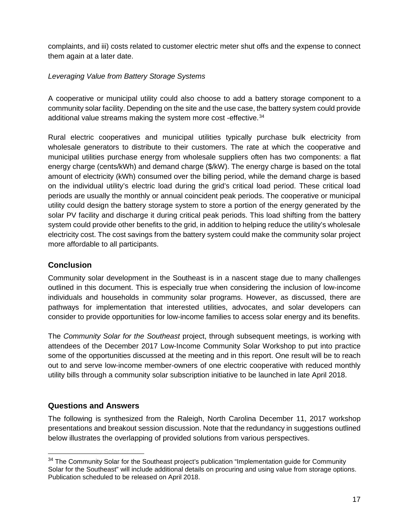complaints, and iii) costs related to customer electric meter shut offs and the expense to connect them again at a later date.

# <span id="page-17-0"></span>*Leveraging Value from Battery Storage Systems*

A cooperative or municipal utility could also choose to add a battery storage component to a community solar facility. Depending on the site and the use case, the battery system could provide additional value streams making the system more cost -effective.<sup>[34](#page-17-3)</sup>

Rural electric cooperatives and municipal utilities typically purchase bulk electricity from wholesale generators to distribute to their customers. The rate at which the cooperative and municipal utilities purchase energy from wholesale suppliers often has two components: a flat energy charge (cents/kWh) and demand charge (\$/kW). The energy charge is based on the total amount of electricity (kWh) consumed over the billing period, while the demand charge is based on the individual utility's electric load during the grid's critical load period. These critical load periods are usually the monthly or annual coincident peak periods. The cooperative or municipal utility could design the battery storage system to store a portion of the energy generated by the solar PV facility and discharge it during critical peak periods. This load shifting from the battery system could provide other benefits to the grid, in addition to helping reduce the utility's wholesale electricity cost. The cost savings from the battery system could make the community solar project more affordable to all participants.

# <span id="page-17-1"></span>**Conclusion**

Community solar development in the Southeast is in a nascent stage due to many challenges outlined in this document. This is especially true when considering the inclusion of low-income individuals and households in community solar programs. However, as discussed, there are pathways for implementation that interested utilities, advocates, and solar developers can consider to provide opportunities for low-income families to access solar energy and its benefits.

The *Community Solar for the Southeast* project, through subsequent meetings, is working with attendees of the December 2017 Low-Income Community Solar Workshop to put into practice some of the opportunities discussed at the meeting and in this report. One result will be to reach out to and serve low-income member-owners of one electric cooperative with reduced monthly utility bills through a community solar subscription initiative to be launched in late April 2018.

# <span id="page-17-2"></span>**Questions and Answers**

The following is synthesized from the Raleigh, North Carolina December 11, 2017 workshop presentations and breakout session discussion. Note that the redundancy in suggestions outlined below illustrates the overlapping of provided solutions from various perspectives.

<span id="page-17-3"></span><sup>&</sup>lt;sup>34</sup> The Community Solar for the Southeast project's publication "Implementation guide for Community Solar for the Southeast" will include additional details on procuring and using value from storage options. Publication scheduled to be released on April 2018.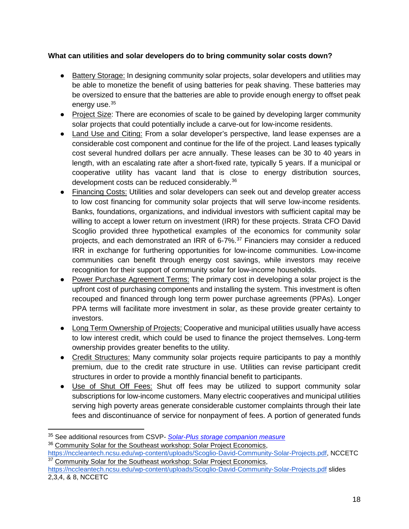# **What can utilities and solar developers do to bring community solar costs down?**

- Battery Storage: In designing community solar projects, solar developers and utilities may be able to monetize the benefit of using batteries for peak shaving. These batteries may be oversized to ensure that the batteries are able to provide enough energy to offset peak energy use.<sup>[35](#page-18-0)</sup>
- Project Size: There are economies of scale to be gained by developing larger community solar projects that could potentially include a carve-out for low-income residents.
- Land Use and Citing: From a solar developer's perspective, land lease expenses are a considerable cost component and continue for the life of the project. Land leases typically cost several hundred dollars per acre annually. These leases can be 30 to 40 years in length, with an escalating rate after a short-fixed rate, typically 5 years. If a municipal or cooperative utility has vacant land that is close to energy distribution sources, development costs can be reduced considerably.[36](#page-18-1)
- Financing Costs: Utilities and solar developers can seek out and develop greater access to low cost financing for community solar projects that will serve low-income residents. Banks, foundations, organizations, and individual investors with sufficient capital may be willing to accept a lower return on investment (IRR) for these projects. Strata CFO David Scoglio provided three hypothetical examples of the economics for community solar projects, and each demonstrated an IRR of 6-7%.<sup>[37](#page-18-2)</sup> Financiers may consider a reduced IRR in exchange for furthering opportunities for low-income communities. Low-income communities can benefit through energy cost savings, while investors may receive recognition for their support of community solar for low-income households.
- Power Purchase Agreement Terms: The primary cost in developing a solar project is the upfront cost of purchasing components and installing the system. This investment is often recouped and financed through long term power purchase agreements (PPAs). Longer PPA terms will facilitate more investment in solar, as these provide greater certainty to investors.
- Long Term Ownership of Projects: Cooperative and municipal utilities usually have access to low interest credit, which could be used to finance the project themselves. Long-term ownership provides greater benefits to the utility.
- Credit Structures: Many community solar projects require participants to pay a monthly premium, due to the credit rate structure in use. Utilities can revise participant credit structures in order to provide a monthly financial benefit to participants.
- Use of Shut Off Fees: Shut off fees may be utilized to support community solar subscriptions for low-income customers. Many electric cooperatives and municipal utilities serving high poverty areas generate considerable customer complaints through their late fees and discontinuance of service for nonpayment of fees. A portion of generated funds

<span id="page-18-0"></span> <sup>35</sup> See additional resources from CSVP- *[Solar-Plus storage companion measure](https://www.communitysolarvalueproject.com/solar-plus.html)*

<span id="page-18-1"></span><sup>&</sup>lt;sup>36</sup> Community Solar for the Southeast workshop: Solar Project Economics,

<span id="page-18-2"></span>[https://nccleantech.ncsu.edu/wp-content/uploads/Scoglio-David-Community-Solar-Projects.pdf,](https://nccleantech.ncsu.edu/wp-content/uploads/Scoglio-David-Community-Solar-Projects.pdf) NCCETC <sup>37</sup> Community Solar for the Southeast workshop: Solar Project Economics,

<https://nccleantech.ncsu.edu/wp-content/uploads/Scoglio-David-Community-Solar-Projects.pdf> slides 2,3,4, & 8, NCCETC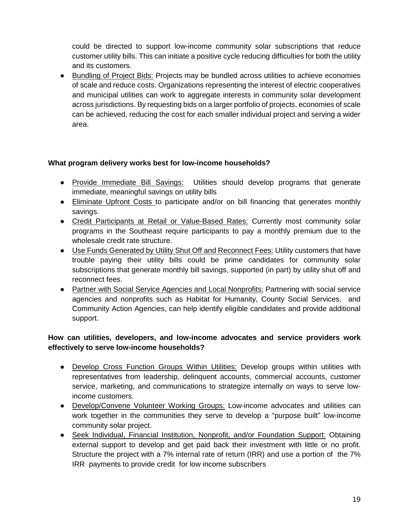could be directed to support low-income community solar subscriptions that reduce customer utility bills. This can initiate a positive cycle reducing difficulties for both the utility and its customers.

● Bundling of Project Bids: Projects may be bundled across utilities to achieve economies of scale and reduce costs. Organizations representing the interest of electric cooperatives and municipal utilities can work to aggregate interests in community solar development across jurisdictions. By requesting bids on a larger portfolio of projects, economies of scale can be achieved, reducing the cost for each smaller individual project and serving a wider area.

# **What program delivery works best for low-income households?**

- Provide Immediate Bill Savings: Utilities should develop programs that generate immediate, meaningful savings on utility bills
- Eliminate Upfront Costs to participate and/or on bill financing that generates monthly savings.
- Credit Participants at Retail or Value-Based Rates: Currently most community solar programs in the Southeast require participants to pay a monthly premium due to the wholesale credit rate structure.
- Use Funds Generated by Utility Shut Off and Reconnect Fees: Utility customers that have trouble paying their utility bills could be prime candidates for community solar subscriptions that generate monthly bill savings, supported (in part) by utility shut off and reconnect fees.
- Partner with Social Service Agencies and Local Nonprofits: Partnering with social service agencies and nonprofits such as Habitat for Humanity, County Social Services, and Community Action Agencies, can help identify eligible candidates and provide additional support.

# **How can utilities, developers, and low-income advocates and service providers work effectively to serve low-income households?**

- Develop Cross Function Groups Within Utilities: Develop groups within utilities with representatives from leadership, delinquent accounts, commercial accounts, customer service, marketing, and communications to strategize internally on ways to serve lowincome customers.
- Develop/Convene Volunteer Working Groups: Low-income advocates and utilities can work together in the communities they serve to develop a "purpose built" low-income community solar project.
- Seek Individual, Financial Institution, Nonprofit, and/or Foundation Support: Obtaining external support to develop and get paid back their investment with little or no profit. Structure the project with a 7% internal rate of return (IRR) and use a portion of the 7% IRR payments to provide credit for low income subscribers